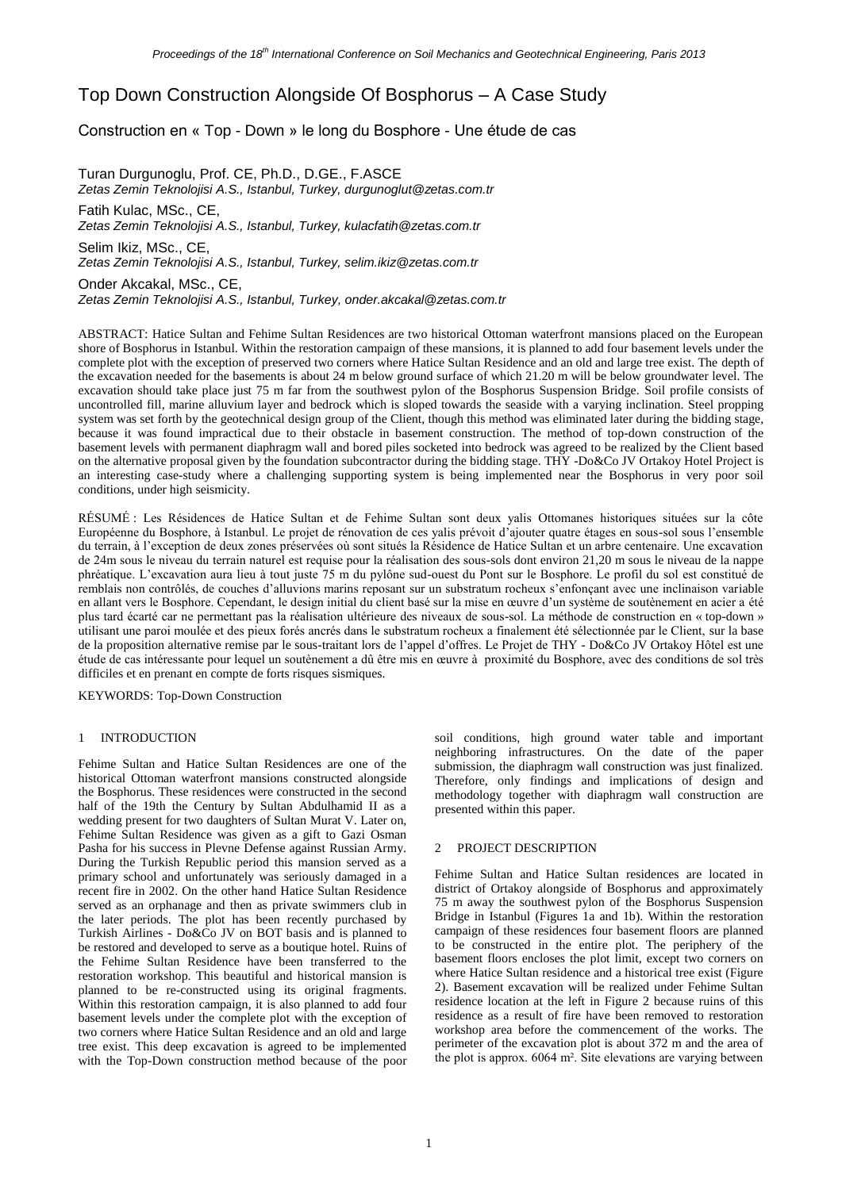# Top Down Construction Alongside Of Bosphorus – A Case Study

# Construction en « Top - Down » le long du Bosphore - Une étude de cas

Turan Durgunoglu, Prof. CE, Ph.D., D.GE., F.ASCE *Zetas Zemin Teknolojisi A.S., Istanbul, Turkey, durgunoglut@zetas.com.tr* Fatih Kulac, MSc., CE, *Zetas Zemin Teknolojisi A.S., Istanbul, Turkey, kulacfatih@zetas.com.tr*

Selim Ikiz, MSc., CE, *Zetas Zemin Teknolojisi A.S., Istanbul, Turkey, selim.ikiz@zetas.com.tr*

Onder Akcakal, MSc., CE, *Zetas Zemin Teknolojisi A.S., Istanbul, Turkey, onder.akcakal@zetas.com.tr*

ABSTRACT: Hatice Sultan and Fehime Sultan Residences are two historical Ottoman waterfront mansions placed on the European shore of Bosphorus in Istanbul. Within the restoration campaign of these mansions, it is planned to add four basement levels under the complete plot with the exception of preserved two corners where Hatice Sultan Residence and an old and large tree exist. The depth of the excavation needed for the basements is about 24 m below ground surface of which 21.20 m will be below groundwater level. The excavation should take place just 75 m far from the southwest pylon of the Bosphorus Suspension Bridge. Soil profile consists of uncontrolled fill, marine alluvium layer and bedrock which is sloped towards the seaside with a varying inclination. Steel propping system was set forth by the geotechnical design group of the Client, though this method was eliminated later during the bidding stage, because it was found impractical due to their obstacle in basement construction. The method of top-down construction of the basement levels with permanent diaphragm wall and bored piles socketed into bedrock was agreed to be realized by the Client based on the alternative proposal given by the foundation subcontractor during the bidding stage. THY -Do&Co JV Ortakoy Hotel Project is an interesting case-study where a challenging supporting system is being implemented near the Bosphorus in very poor soil conditions, under high seismicity.

RÉSUMÉ : Les Résidences de Hatice Sultan et de Fehime Sultan sont deux yalis Ottomanes historiques situées sur la côte Européenne du Bosphore, à Istanbul. Le projet de rénovation de ces yalis prévoit d'ajouter quatre étages en sous-sol sous l'ensemble du terrain, à l'exception de deux zones préservées où sont situés la Résidence de Hatice Sultan et un arbre centenaire. Une excavation de 24m sous le niveau du terrain naturel est requise pour la réalisation des sous-sols dont environ 21,20 m sous le niveau de la nappe phréatique. L'excavation aura lieu à tout juste 75 m du pylône sud-ouest du Pont sur le Bosphore. Le profil du sol est constitué de remblais non contrôlés, de couches d'alluvions marins reposant sur un substratum rocheux s'enfonçant avec une inclinaison variable en allant vers le Bosphore. Cependant, le design initial du client basé sur la mise en œuvre d'un système de soutènement en acier a été plus tard écarté car ne permettant pas la réalisation ultérieure des niveaux de sous-sol. La méthode de construction en « top-down » utilisant une paroi moulée et des pieux forés ancrés dans le substratum rocheux a finalement été sélectionnée par le Client, sur la base de la proposition alternative remise par le sous-traitant lors de l'appel d'offres. Le Projet de THY - Do&Co JV Ortakoy Hôtel est une étude de cas intéressante pour lequel un soutènement a dû être mis en œuvre à proximité du Bosphore, avec des conditions de sol très difficiles et en prenant en compte de forts risques sismiques.

KEYWORDS: Top-Down Construction

### 1 INTRODUCTION

Fehime Sultan and Hatice Sultan Residences are one of the historical Ottoman waterfront mansions constructed alongside the Bosphorus. These residences were constructed in the second half of the 19th the Century by Sultan Abdulhamid II as a wedding present for two daughters of Sultan Murat V. Later on, Fehime Sultan Residence was given as a gift to Gazi Osman Pasha for his success in Plevne Defense against Russian Army. During the Turkish Republic period this mansion served as a primary school and unfortunately was seriously damaged in a recent fire in 2002. On the other hand Hatice Sultan Residence served as an orphanage and then as private swimmers club in the later periods. The plot has been recently purchased by Turkish Airlines - Do&Co JV on BOT basis and is planned to be restored and developed to serve as a boutique hotel. Ruins of the Fehime Sultan Residence have been transferred to the restoration workshop. This beautiful and historical mansion is planned to be re-constructed using its original fragments. Within this restoration campaign, it is also planned to add four basement levels under the complete plot with the exception of two corners where Hatice Sultan Residence and an old and large tree exist. This deep excavation is agreed to be implemented with the Top-Down construction method because of the poor

soil conditions, high ground water table and important neighboring infrastructures. On the date of the paper submission, the diaphragm wall construction was just finalized. Therefore, only findings and implications of design and methodology together with diaphragm wall construction are presented within this paper.

# 2 PROJECT DESCRIPTION

Fehime Sultan and Hatice Sultan residences are located in district of Ortakoy alongside of Bosphorus and approximately 75 m away the southwest pylon of the Bosphorus Suspension Bridge in Istanbul (Figures 1a and 1b). Within the restoration campaign of these residences four basement floors are planned to be constructed in the entire plot. The periphery of the basement floors encloses the plot limit, except two corners on where Hatice Sultan residence and a historical tree exist (Figure 2). Basement excavation will be realized under Fehime Sultan residence location at the left in Figure 2 because ruins of this residence as a result of fire have been removed to restoration workshop area before the commencement of the works. The perimeter of the excavation plot is about 372 m and the area of the plot is approx. 6064 m². Site elevations are varying between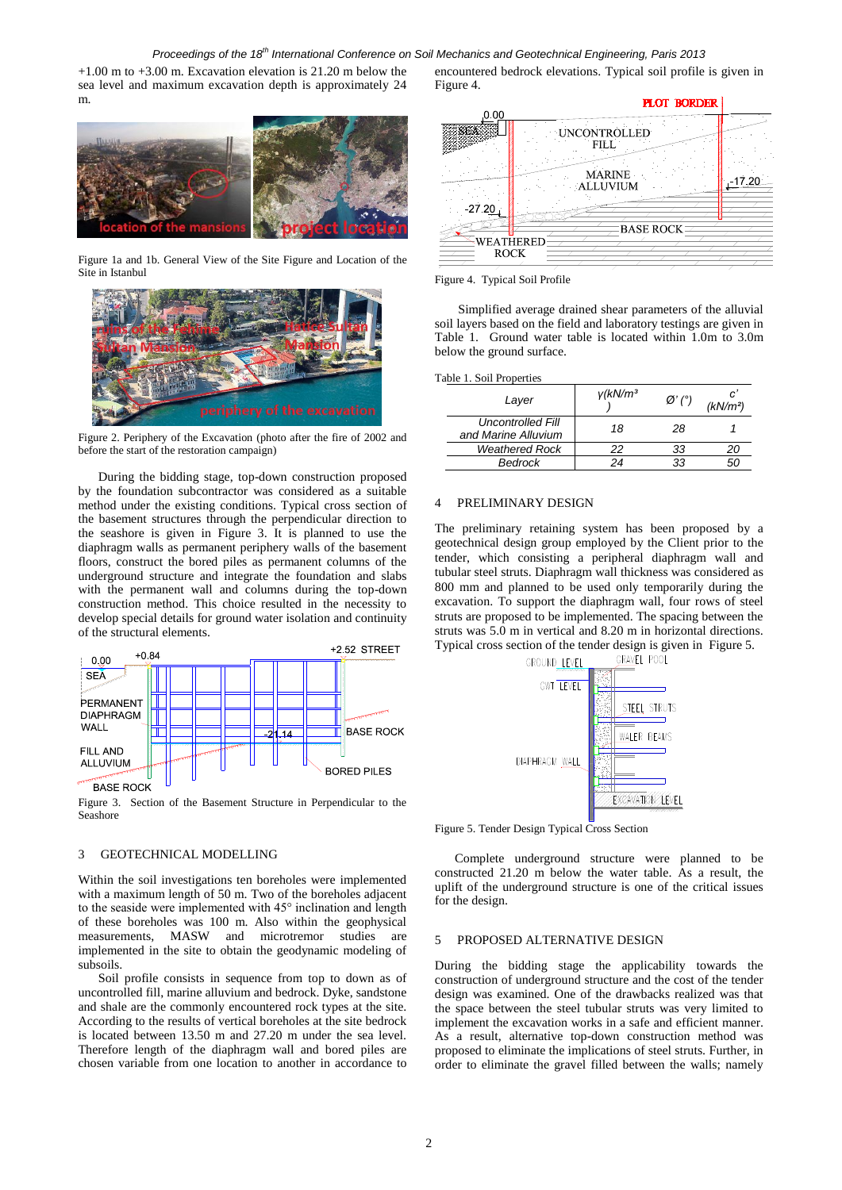#### *Proceedings of the 18th International Conference on Soil Mechanics and Geotechnical Engineering, Paris 2013*

 $+1.00$  m to  $+3.00$  m. Excavation elevation is 21.20 m below the sea level and maximum excavation depth is approximately 24 m.



Figure 1a and 1b. General View of the Site Figure and Location of the Site in Istanbul



Figure 2. Periphery of the Excavation (photo after the fire of 2002 and before the start of the restoration campaign)

During the bidding stage, top-down construction proposed by the foundation subcontractor was considered as a suitable method under the existing conditions. Typical cross section of the basement structures through the perpendicular direction to the seashore is given in Figure 3. It is planned to use the diaphragm walls as permanent periphery walls of the basement floors, construct the bored piles as permanent columns of the underground structure and integrate the foundation and slabs with the permanent wall and columns during the top-down construction method. This choice resulted in the necessity to develop special details for ground water isolation and continuity of the structural elements.



Figure 3. Section of the Basement Structure in Perpendicular to the Seashore

# 3 GEOTECHNICAL MODELLING

Within the soil investigations ten boreholes were implemented with a maximum length of 50 m. Two of the boreholes adjacent to the seaside were implemented with 45° inclination and length of these boreholes was 100 m. Also within the geophysical measurements, MASW and microtremor studies are implemented in the site to obtain the geodynamic modeling of subsoils.

Soil profile consists in sequence from top to down as of uncontrolled fill, marine alluvium and bedrock. Dyke, sandstone and shale are the commonly encountered rock types at the site. According to the results of vertical boreholes at the site bedrock is located between 13.50 m and 27.20 m under the sea level. Therefore length of the diaphragm wall and bored piles are chosen variable from one location to another in accordance to

encountered bedrock elevations. Typical soil profile is given in Figure 4.



Figure 4. Typical Soil Profile

Simplified average drained shear parameters of the alluvial soil layers based on the field and laboratory testings are given in Table 1. Ground water table is located within 1.0m to 3.0m below the ground surface.

#### Table 1. Soil Properties

| Layer                                           | $V$ (kN/m <sup>3</sup> | $\varnothing'$ (°) | c<br>(kN/m <sup>2</sup> ) |
|-------------------------------------------------|------------------------|--------------------|---------------------------|
| <b>Uncontrolled Fill</b><br>and Marine Alluvium | 18                     | 28                 |                           |
| <b>Weathered Rock</b>                           | 22                     | 33                 | 20                        |
| Bedrock                                         | 24                     |                    | ור                        |

# 4 PRELIMINARY DESIGN

The preliminary retaining system has been proposed by a geotechnical design group employed by the Client prior to the tender, which consisting a peripheral diaphragm wall and tubular steel struts. Diaphragm wall thickness was considered as 800 mm and planned to be used only temporarily during the excavation. To support the diaphragm wall, four rows of steel struts are proposed to be implemented. The spacing between the struts was 5.0 m in vertical and 8.20 m in horizontal directions. Typical cross section of the tender design is given in Figure 5.<br>
CROUND LEVEL POOL GRAVEL POOL



Figure 5. Tender Design Typical Cross Section

Complete underground structure were planned to be constructed 21.20 m below the water table. As a result, the uplift of the underground structure is one of the critical issues for the design.

## 5 PROPOSED ALTERNATIVE DESIGN

During the bidding stage the applicability towards the construction of underground structure and the cost of the tender design was examined. One of the drawbacks realized was that the space between the steel tubular struts was very limited to implement the excavation works in a safe and efficient manner. As a result, alternative top-down construction method was proposed to eliminate the implications of steel struts. Further, in order to eliminate the gravel filled between the walls; namely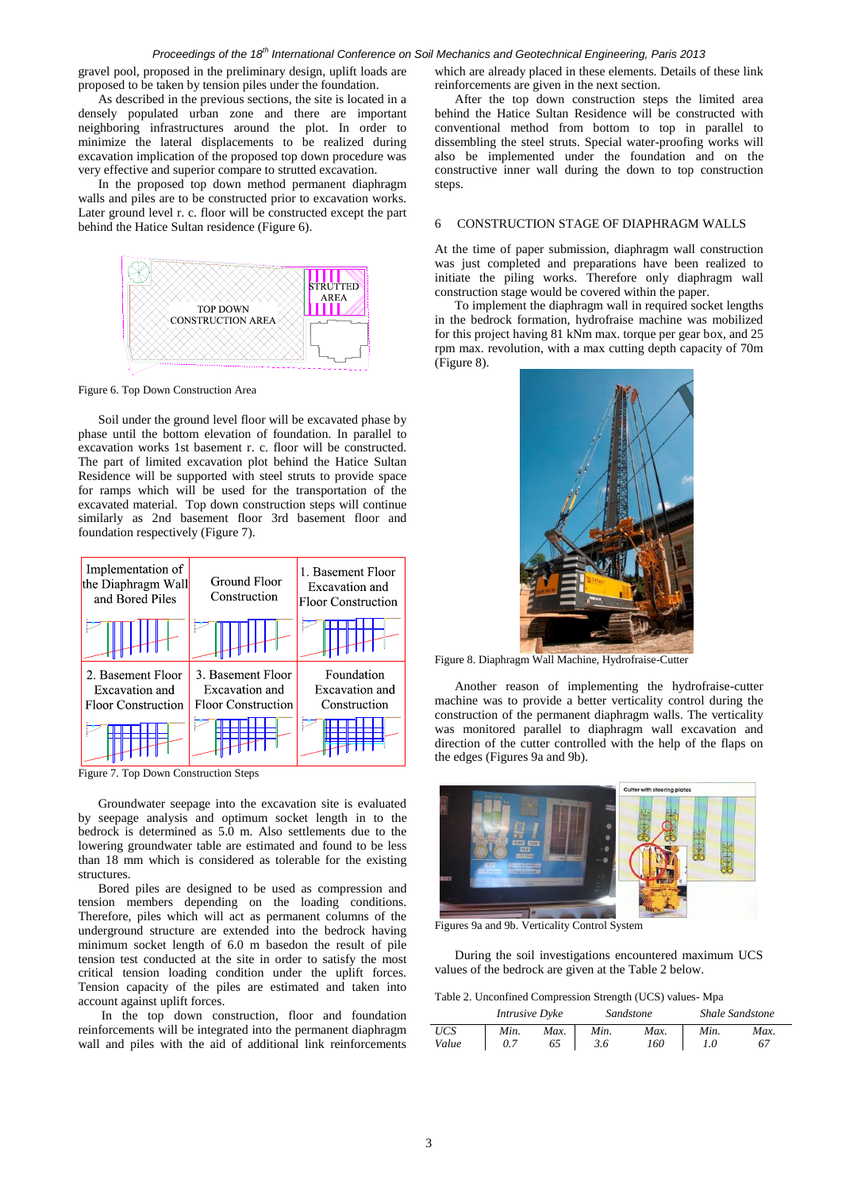#### *Proceedings of the 18th International Conference on Soil Mechanics and Geotechnical Engineering, Paris 2013*

gravel pool, proposed in the preliminary design, uplift loads are proposed to be taken by tension piles under the foundation.

As described in the previous sections, the site is located in a densely populated urban zone and there are important neighboring infrastructures around the plot. In order to minimize the lateral displacements to be realized during excavation implication of the proposed top down procedure was very effective and superior compare to strutted excavation.

In the proposed top down method permanent diaphragm walls and piles are to be constructed prior to excavation works. Later ground level r. c. floor will be constructed except the part behind the Hatice Sultan residence (Figure 6).



Figure 6. Top Down Construction Area

Soil under the ground level floor will be excavated phase by phase until the bottom elevation of foundation. In parallel to excavation works 1st basement r. c. floor will be constructed. The part of limited excavation plot behind the Hatice Sultan Residence will be supported with steel struts to provide space for ramps which will be used for the transportation of the excavated material. Top down construction steps will continue similarly as 2nd basement floor 3rd basement floor and foundation respectively (Figure 7).



Figure 7. Top Down Construction Steps

Groundwater seepage into the excavation site is evaluated by seepage analysis and optimum socket length in to the bedrock is determined as 5.0 m. Also settlements due to the lowering groundwater table are estimated and found to be less than 18 mm which is considered as tolerable for the existing structures.

Bored piles are designed to be used as compression and tension members depending on the loading conditions. Therefore, piles which will act as permanent columns of the underground structure are extended into the bedrock having minimum socket length of 6.0 m basedon the result of pile tension test conducted at the site in order to satisfy the most critical tension loading condition under the uplift forces. Tension capacity of the piles are estimated and taken into account against uplift forces.

In the top down construction, floor and foundation reinforcements will be integrated into the permanent diaphragm wall and piles with the aid of additional link reinforcements

which are already placed in these elements. Details of these link reinforcements are given in the next section.

After the top down construction steps the limited area behind the Hatice Sultan Residence will be constructed with conventional method from bottom to top in parallel to dissembling the steel struts. Special water-proofing works will also be implemented under the foundation and on the constructive inner wall during the down to top construction steps.

# 6 CONSTRUCTION STAGE OF DIAPHRAGM WALLS

At the time of paper submission, diaphragm wall construction was just completed and preparations have been realized to initiate the piling works. Therefore only diaphragm wall construction stage would be covered within the paper.

To implement the diaphragm wall in required socket lengths in the bedrock formation, hydrofraise machine was mobilized for this project having 81 kNm max. torque per gear box, and 25 rpm max. revolution, with a max cutting depth capacity of 70m (Figure 8).



Figure 8. Diaphragm Wall Machine, Hydrofraise-Cutter

Another reason of implementing the hydrofraise-cutter machine was to provide a better verticality control during the construction of the permanent diaphragm walls. The verticality was monitored parallel to diaphragm wall excavation and direction of the cutter controlled with the help of the flaps on the edges (Figures 9a and 9b).



Figures 9a and 9b. Verticality Control System

During the soil investigations encountered maximum UCS values of the bedrock are given at the Table 2 below.

Table 2. Unconfined Compression Strength (UCS) values- Mpa

|              | <b>Intrusive Dyke</b> |            | Sandstone   |             | <b>Shale Sandstone</b> |            |
|--------------|-----------------------|------------|-------------|-------------|------------------------|------------|
| UCS<br>Value | Min.                  | Max.<br>65 | Min.<br>3.6 | Max.<br>160 | Min.                   | Max.<br>67 |